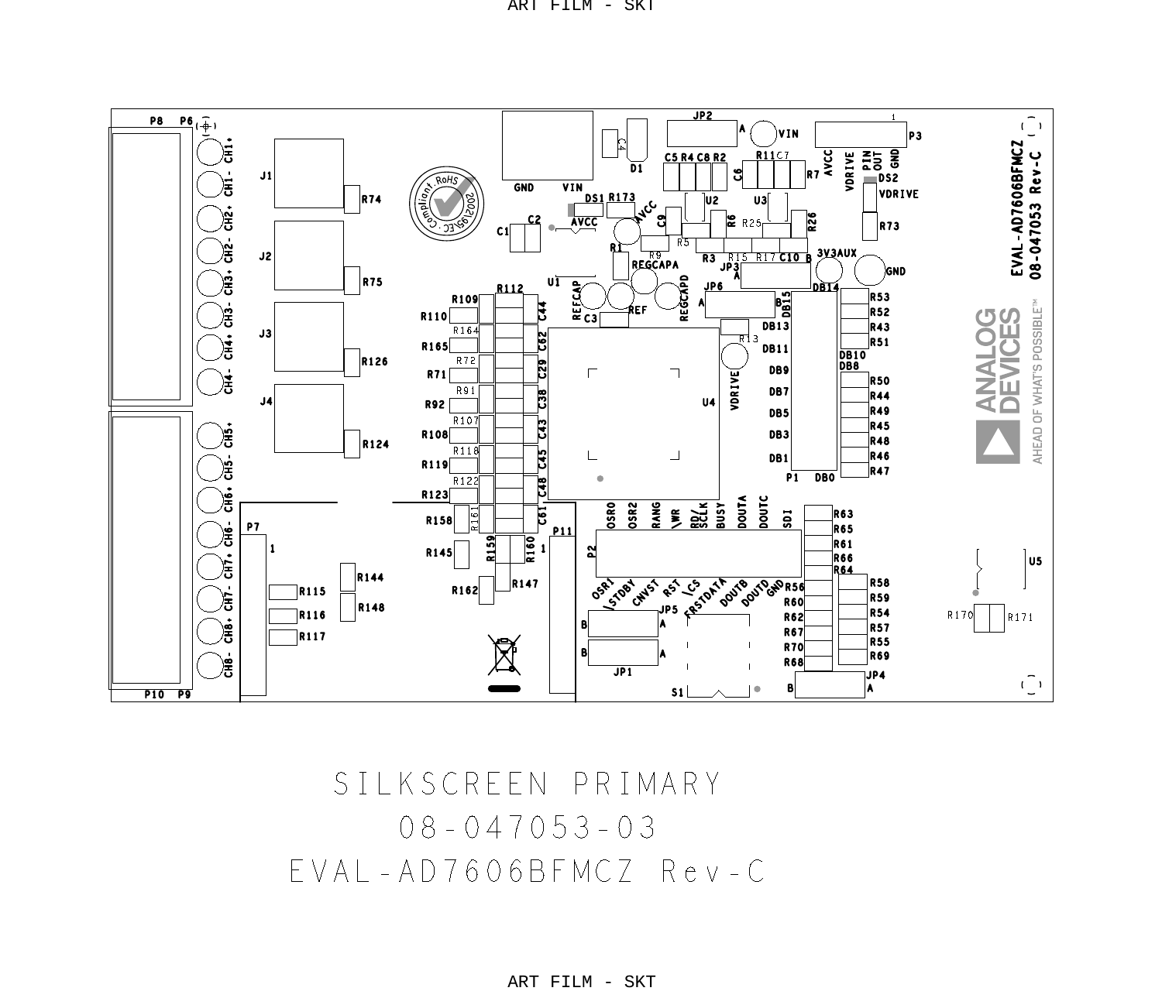

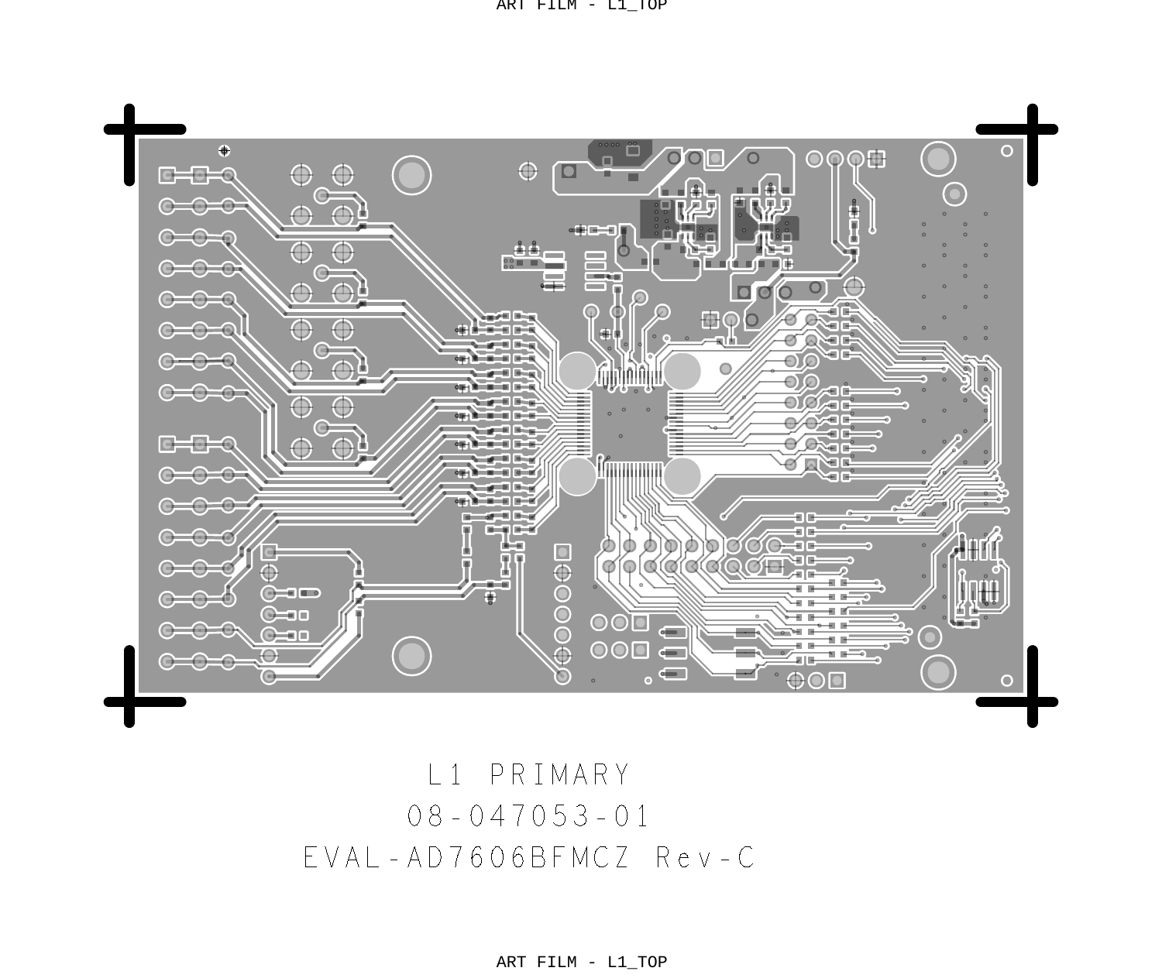ART FILM - L1\_TOP



08 - 047053 - 01 L1 PRIMARY EVAL-AD7606BFMCZ Rev-C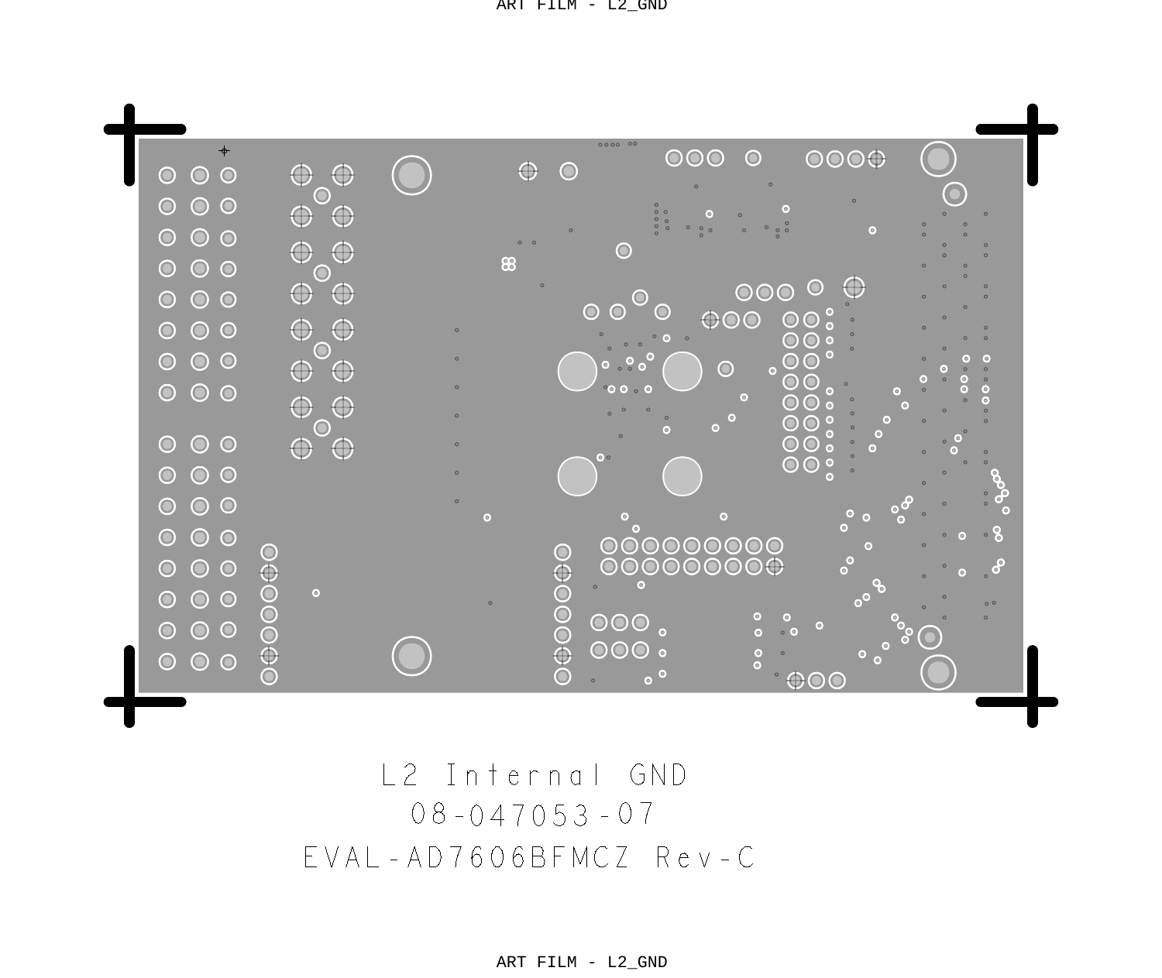ART FILM - L2\_GND



08 - 047053 - 07 L2 Internal GND EVAL-AD7606BFMCZ Rev-C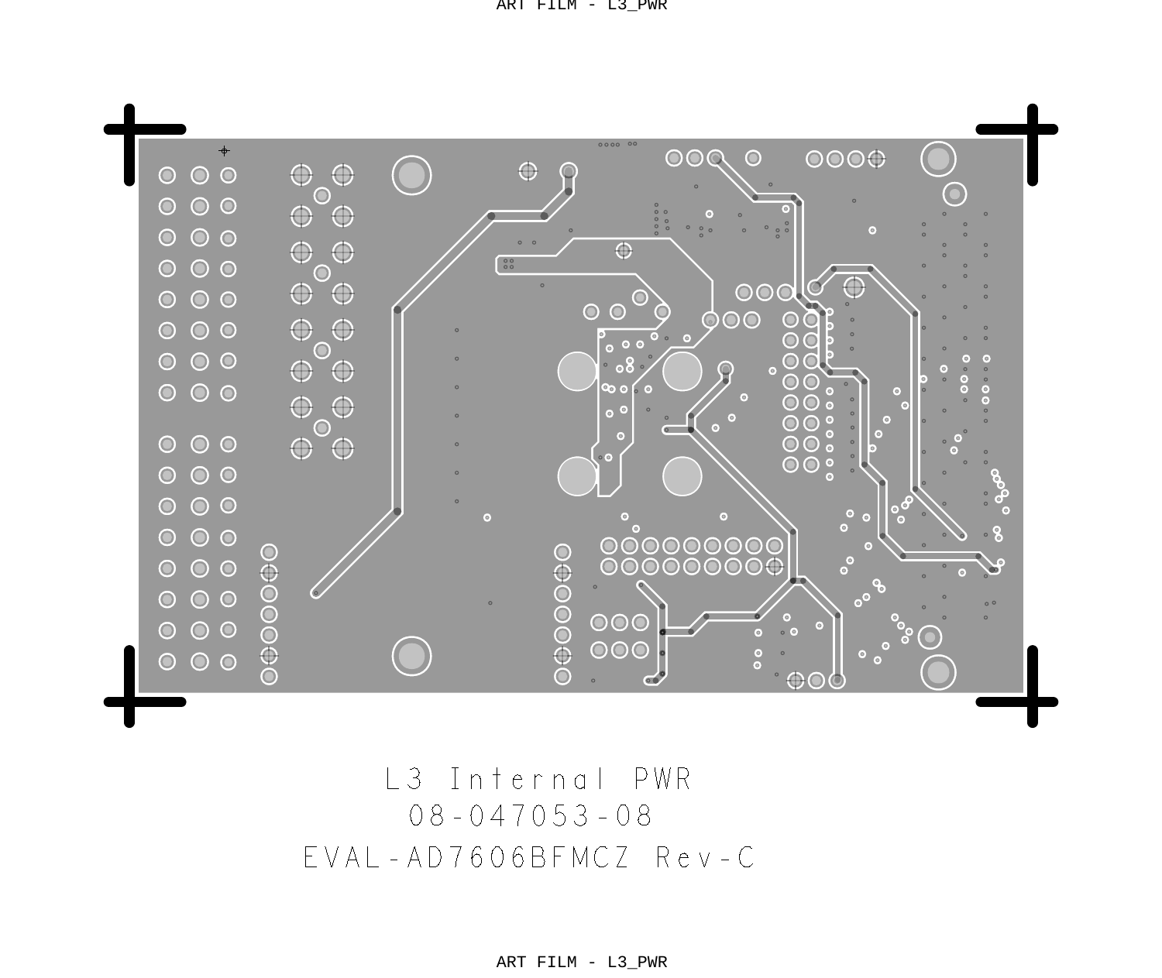ART FILM - L3\_PWR



08 - 047053 - 08 L3 Internal PWR EVAL-AD7606BFMCZ Rev-C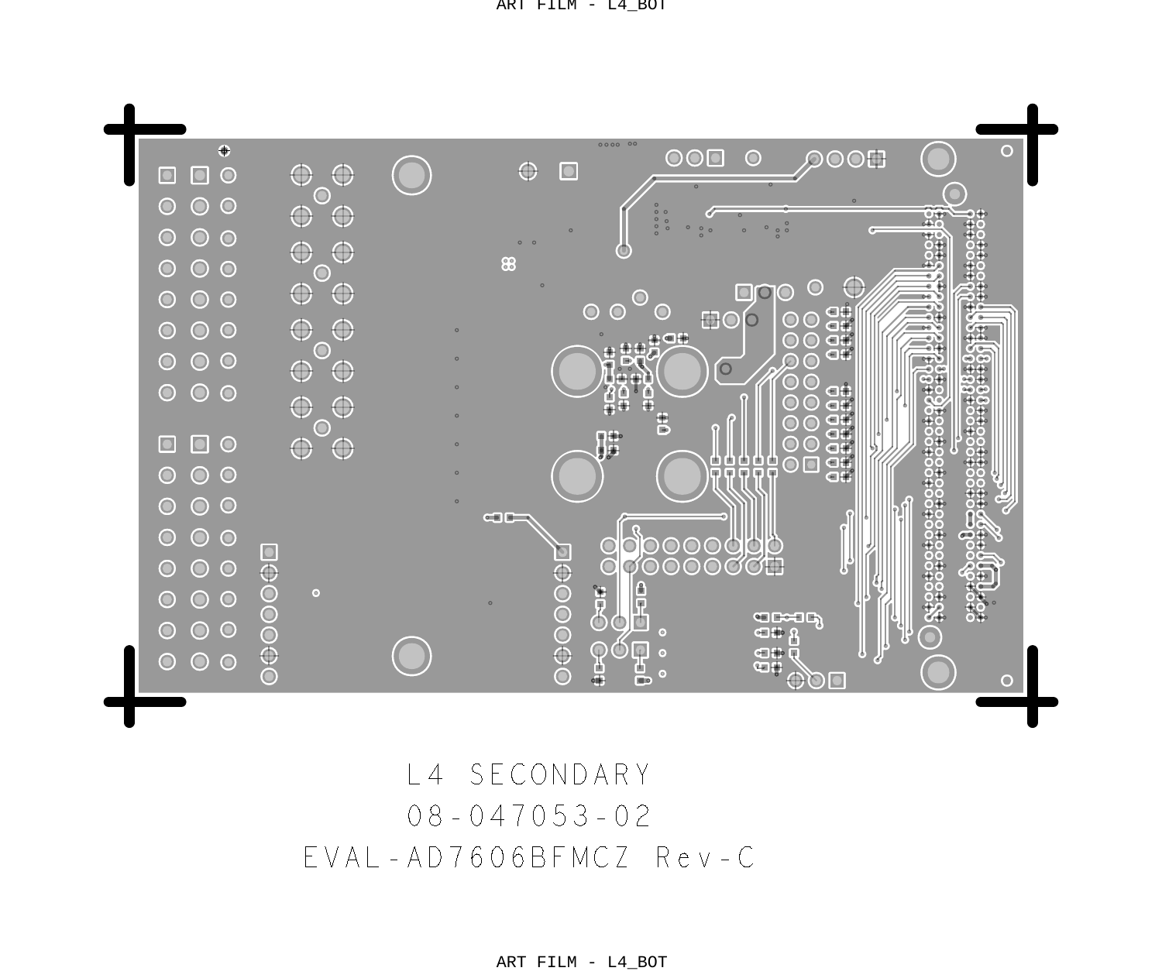ART FILM - L4\_BOT



08 - 047053 - 02 L4 SECONDARY EVAL-AD7606BFMCZ Rev-C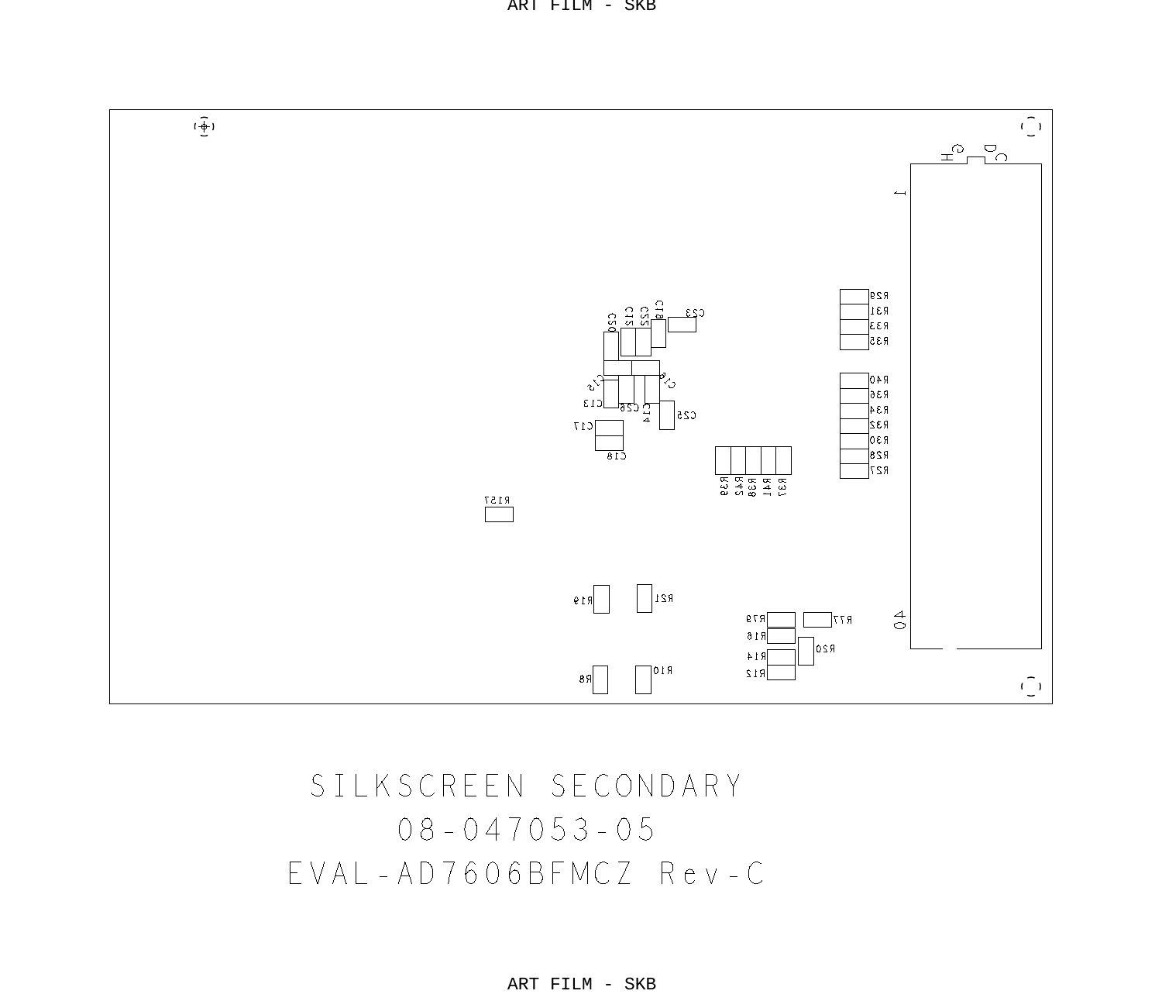

## $08 - 047053 - 05$ SILKSCREEN SECONDARY EVAL-AD7606BFMCZ Rev-C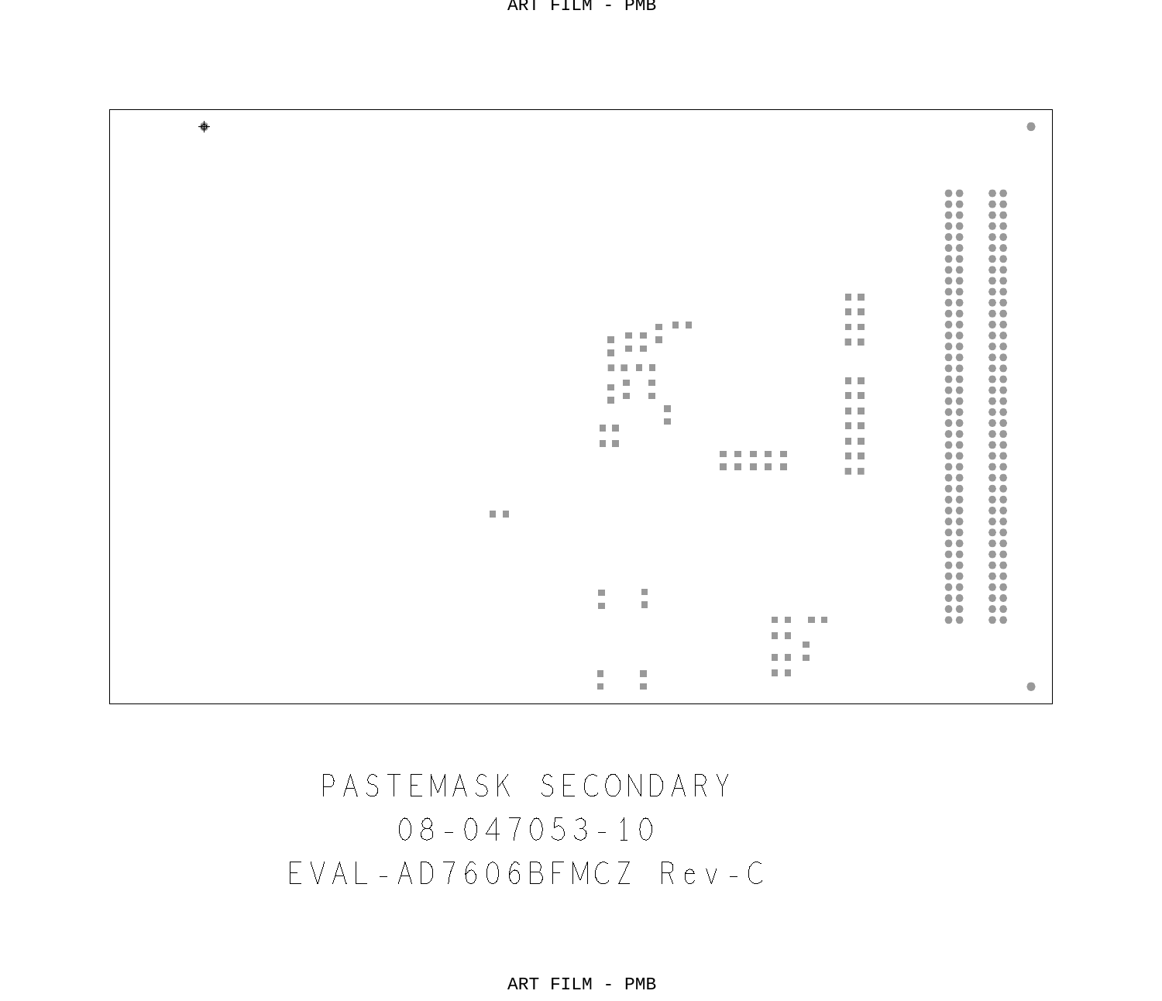| 00<br>00<br>8<br>8<br>00<br>0.0<br>00<br>00<br>$\ddot{\bullet} \ddot{\bullet}$<br>őŏ.<br>00<br>00<br>00<br>00<br>00<br>0.0<br>8<br>8<br>日目<br>日目<br>00<br>00<br>$\frac{1}{1}$<br>8<br>$-111$<br>日目<br>日目<br>ш<br>×<br>$\mathbb{R}^n$<br>00<br>日目<br>m.<br>őŏ.<br>00<br>$- - 0.0$<br>00<br>00<br>日目<br>щ<br>ш<br>u,<br>00<br>ш<br>日目<br>ш<br>m.<br>00<br>$\otimes$<br>ш<br>日目<br>00<br>88<br>ш<br>00<br>日目<br>日目<br>00<br>00<br>医肌<br>用用<br>$\ddot{\bullet} \ddot{\bullet}$<br>00<br><b></b><br>日目<br>88<br>$\frac{1}{10}$<br><b></b><br>$\mathbb{R}^n$<br>00<br>00<br>0.0<br>00<br>88<br>00<br>日目<br>0.0<br>00<br>00<br>00<br>00<br>88<br>$\ddot{\phantom{0}}$<br>00<br>$\ddot{\bullet}$<br>00<br>00<br>$\begin{array}{c} 0 & 0 \\ 0 & 0 \end{array}$<br>00<br>ш<br>ш<br>ōŏ<br>m.<br>ш<br>0.0<br>0.0<br><b>BR BR</b><br>00<br>00<br>日目<br>ш<br>$0.0 - 0.0$<br>日目<br>ш<br>ш<br>$\bullet$<br>×<br>ш | ٠ | ۰ |
|---------------------------------------------------------------------------------------------------------------------------------------------------------------------------------------------------------------------------------------------------------------------------------------------------------------------------------------------------------------------------------------------------------------------------------------------------------------------------------------------------------------------------------------------------------------------------------------------------------------------------------------------------------------------------------------------------------------------------------------------------------------------------------------------------------------------------------------------------------------------------------------------------|---|---|
|                                                                                                                                                                                                                                                                                                                                                                                                                                                                                                                                                                                                                                                                                                                                                                                                                                                                                                   |   |   |
|                                                                                                                                                                                                                                                                                                                                                                                                                                                                                                                                                                                                                                                                                                                                                                                                                                                                                                   |   |   |
|                                                                                                                                                                                                                                                                                                                                                                                                                                                                                                                                                                                                                                                                                                                                                                                                                                                                                                   |   |   |
|                                                                                                                                                                                                                                                                                                                                                                                                                                                                                                                                                                                                                                                                                                                                                                                                                                                                                                   |   |   |
|                                                                                                                                                                                                                                                                                                                                                                                                                                                                                                                                                                                                                                                                                                                                                                                                                                                                                                   |   |   |
|                                                                                                                                                                                                                                                                                                                                                                                                                                                                                                                                                                                                                                                                                                                                                                                                                                                                                                   |   |   |
|                                                                                                                                                                                                                                                                                                                                                                                                                                                                                                                                                                                                                                                                                                                                                                                                                                                                                                   |   |   |
|                                                                                                                                                                                                                                                                                                                                                                                                                                                                                                                                                                                                                                                                                                                                                                                                                                                                                                   |   |   |

## $08 - 047053 - 10$ PASTEMASK SECONDARY EVAL-AD7606BFMCZ Rev-C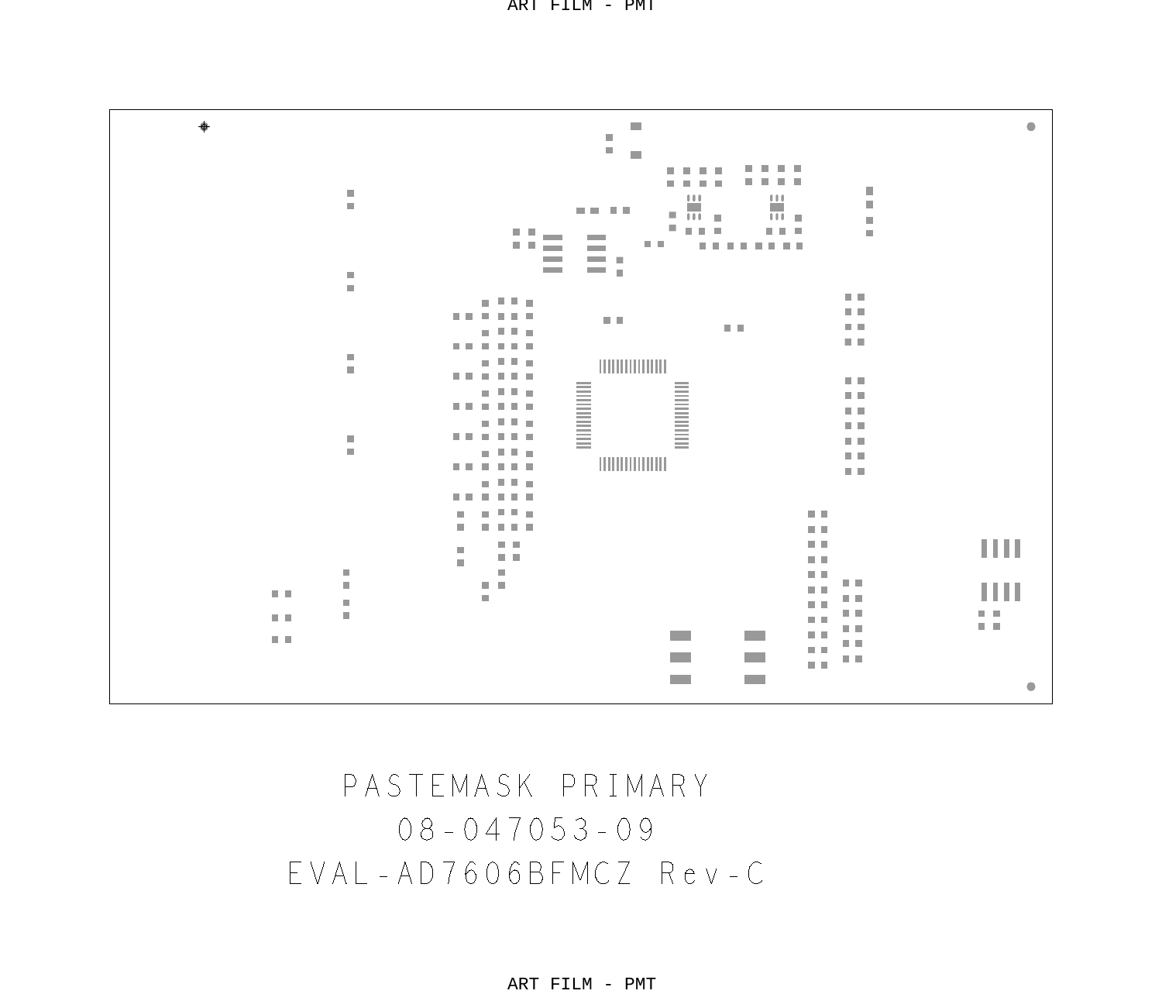٠  $\alpha$  $\mathcal{L}_{\mathcal{A}}$ ă m. *B. B. B. B.* **B R R B** *<u>A A A A</u>* . . . . J. m.  $\pm 1$ Ш ÷ n, **DOM: NO** 冊 ₩.  $\equiv$  $\overline{\phantom{a}}$  $\alpha$ ×.  $\alpha \rightarrow \alpha$ 0.0 m 8. K. H  $\alpha$  $\frac{1}{2}$ **COL** 99 E I  $\mathbf{u}$ **CONTRACTOR**  $\sim$  10 **COL** ÷.  $\sim$  $\sim$ m R m. ÷ n n  $\alpha \in \mathbb{R}$  ,  $\alpha$  $\mathbb{R}$ . . . . . .  $\mathbb{R}$ n n  $\mathbf{H}$ m. n n ×  $\alpha$  . m. a a m. m. **DOM: N**  $\alpha$ m. n n **D** n e ■ 見見 ■ **THE REAL** n e na Santa n e ■ 日本 ■ n e  $\alpha$ . . . . . .  $\mathbb{R}$  $\alpha$  $\sim 100$  m m, n e m. 日目  $\mathbf{m}$ и в n e a a f. m. m i **III** n n **D** u u ×  $\mathbb{R}$ × n n ÷ n n a a **THE** ×.  $\sim$ r. ■■ a a r. m. × a a ÷ a R  $\mathbb{R}$ a a Ш  $\pm$  10 ÷ ēΞ  $\mathbb{R}$  $\alpha$  $\mathbf{u}$  $\mathbf{m}$ 無理  $\mathbf{H}$ a a БŦ.  $\mathbb{R}$  $\overline{\phantom{a}}$ m.  $\alpha$  is  $\mathbb{R}$ ĩΘ n n **Contract COL**  $\mathbf{u}$  $\alpha$  is **College COL**  $\bullet$ 

> 08-047053-09 PASTEMASK PRIMARY EVAL-AD7606BFMCZ Rev-C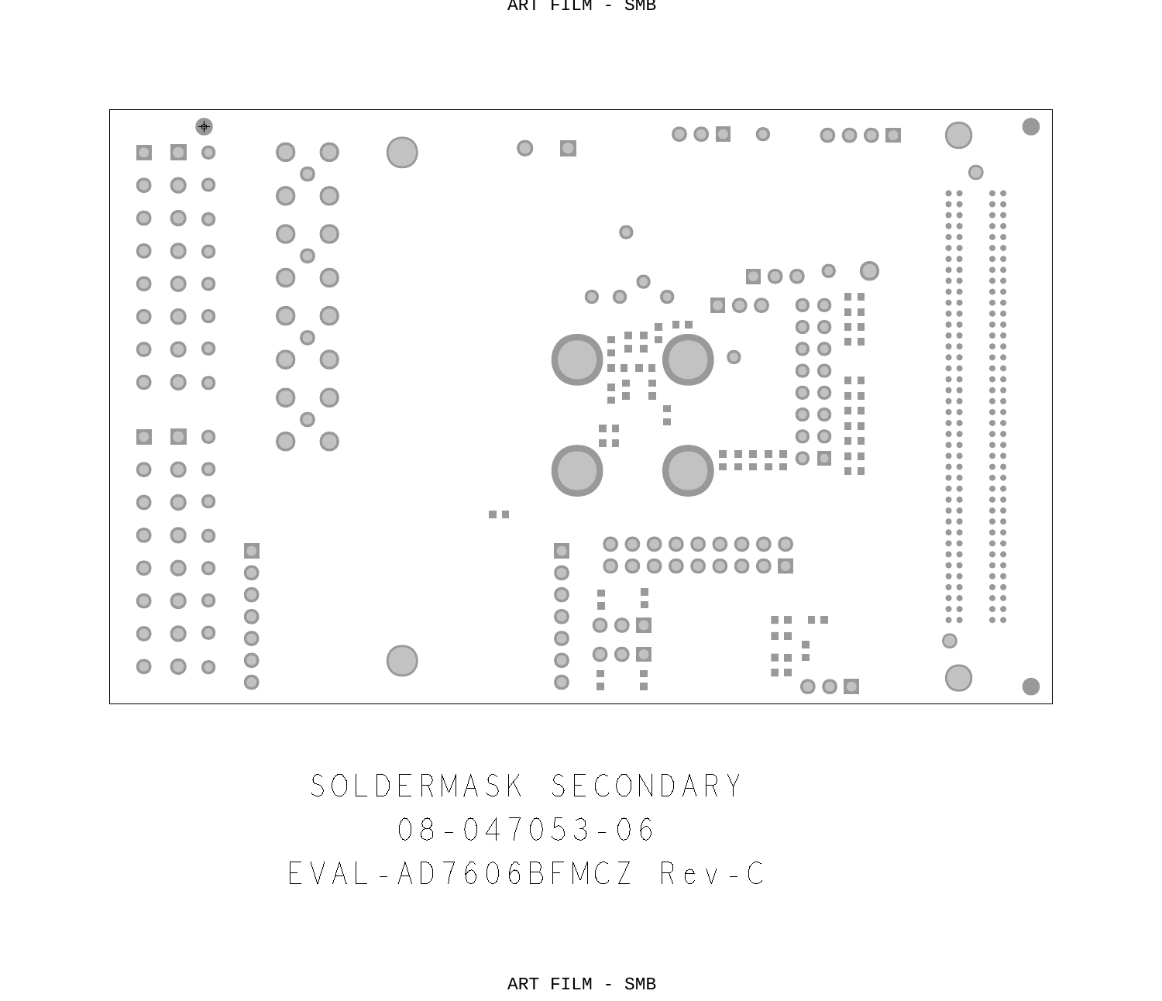

 $08 - 047053 - 06$ SOLDERMASK SECONDARY EVAL-AD7606BFMCZ Rev-C